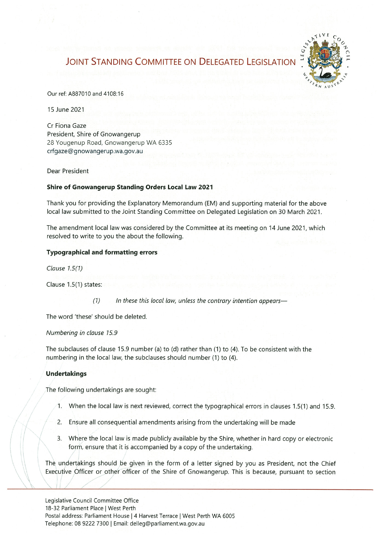# **JOINT STANDING COMMITTEE ON DELEGATED LEGISLATION**



Our ref: A887010 and 4108:16

15 June 2021

Cr Fiona Gaze President, Shire of Gnowangerup 28 Yougenup Road, Gnowangerup WA 6335 crfgaze@gnowangerup.wa.gov.au

Dear President

### Shire of Gnowangerup Standing Orders Local Law 2021

Thank you for providing the Explanatory Memorandum (EM) and supporting material for the above local law submitted to the Joint Standing Committee on Delegated Legislation on 30 March 2021.

The amendment local law was considered by the Committee at its meeting on 14 June 2021, which resolved to write to you the about the following

#### Typographical and formatting errors

Clause  $1.5(1)$ 

Clause  $1.5(1)$  states:

 $(1)$  In these this local law, unless the contrary intention appears-

The word 'these' should be deleted,

Numbering in clause 15.9

The subclauses of clause 15.9 number (a) to (d) rather than (1) to (4). To be consistent with the numbering in the local law, the subclauses should number (1) to (4).

#### Undertakings

The following undertakings are sought:

- 1. When the local law is next reviewed, correct the typographical errors in clauses  $1.5(1)$  and  $15.9$ .
- 2. Ensure all consequential amendments arising from the undertaking will be made
- 3. Where the local law is made publicly available by the Shire, whether in hard copy or electronic form, ensure that it is accompanied by a copy of the undertaking.

The undertakings should be given in the form of a letter signed by you as President, not the Chief Executive Officer or other officer of the Shire of Gnowangerup. This is because, pursuant to section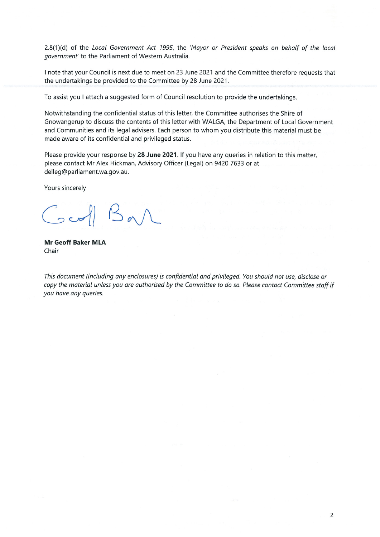2.8(1)(d) of the Local Government Act 1995, the 'Mayor or President speaks on behalf of the local government' to the Parliament of Western Australia.

I note that your Council is next due to meet on 23 June 2021 and the Committee therefore requests that the undertakings be provided to the Committee by 28 June 2021.

To assist you I attach a suggested form of Council resolution to provide the undertakings.

Notwithstanding the confidential status of this letter, the Committee authorises the Shire of Gnowangerup to discuss the contents of this letter with WALGA, the Department of Local Government and Communities and its legal advisers. Each person to whom you distribute this material must be made aware of its confidential and privileged status.

Please provide your response by 28 June 2021. If you have any queries in relation to this matter, please contact Mr Alex Hickman, Advisory Officer (Legal) on 9420 7633 or at delleg@parliament.wa.gov.au.

Yours sincerely

 $\sqrt{2}$ 

Mr Geofr Baker MLA Chair

This document (including any enclosures) is confidential and privileged. You should not use, disclose or copy the material unless you are authorised by the Committee to do so. Please contact Committee staff if you have any queries.